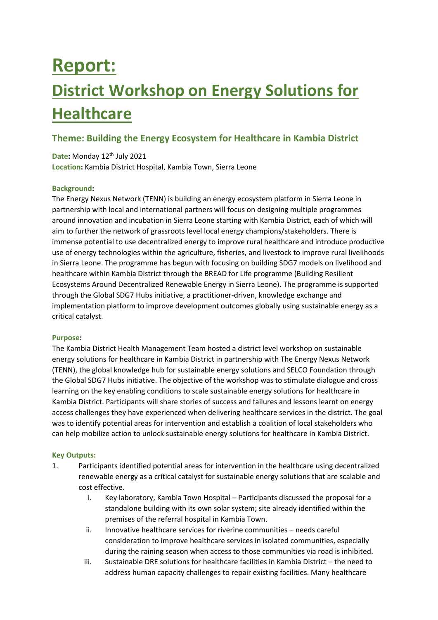# **Report: District Workshop on Energy Solutions for Healthcare**

# **Theme: Building the Energy Ecosystem for Healthcare in Kambia District**

Date: Monday 12<sup>th</sup> July 2021 **Location:** Kambia District Hospital, Kambia Town, Sierra Leone

#### **Background:**

The Energy Nexus Network (TENN) is building an energy ecosystem platform in Sierra Leone in partnership with local and international partners will focus on designing multiple programmes around innovation and incubation in Sierra Leone starting with Kambia District, each of which will aim to further the network of grassroots level local energy champions/stakeholders. There is immense potential to use decentralized energy to improve rural healthcare and introduce productive use of energy technologies within the agriculture, fisheries, and livestock to improve rural livelihoods in Sierra Leone. The programme has begun with focusing on building SDG7 models on livelihood and healthcare within Kambia District through the BREAD for Life programme (Building Resilient Ecosystems Around Decentralized Renewable Energy in Sierra Leone). The programme is supported through the Global SDG7 Hubs initiative, a practitioner-driven, knowledge exchange and implementation platform to improve development outcomes globally using sustainable energy as a critical catalyst.

#### **Purpose:**

The Kambia District Health Management Team hosted a district level workshop on sustainable energy solutions for healthcare in Kambia District in partnership with The Energy Nexus Network (TENN), the global knowledge hub for sustainable energy solutions and SELCO Foundation through the Global SDG7 Hubs initiative. The objective of the workshop was to stimulate dialogue and cross learning on the key enabling conditions to scale sustainable energy solutions for healthcare in Kambia District. Participants will share stories of success and failures and lessons learnt on energy access challenges they have experienced when delivering healthcare services in the district. The goal was to identify potential areas for intervention and establish a coalition of local stakeholders who can help mobilize action to unlock sustainable energy solutions for healthcare in Kambia District.

#### **Key Outputs:**

- 1. Participants identified potential areas for intervention in the healthcare using decentralized renewable energy as a critical catalyst for sustainable energy solutions that are scalable and cost effective.
	- i. Key laboratory, Kambia Town Hospital Participants discussed the proposal for a standalone building with its own solar system; site already identified within the premises of the referral hospital in Kambia Town.
	- ii. Innovative healthcare services for riverine communities needs careful consideration to improve healthcare services in isolated communities, especially during the raining season when access to those communities via road is inhibited.
	- iii. Sustainable DRE solutions for healthcare facilities in Kambia District the need to address human capacity challenges to repair existing facilities. Many healthcare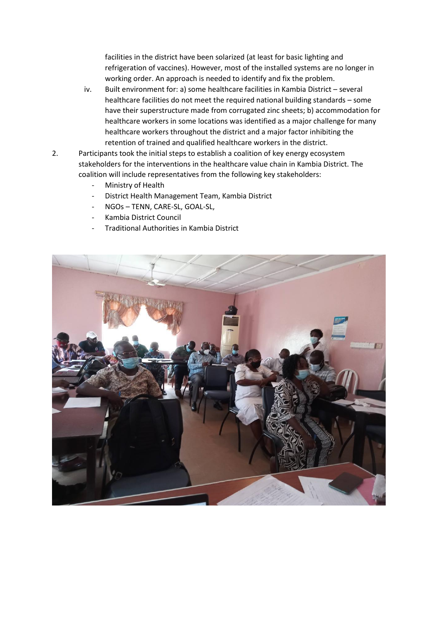facilities in the district have been solarized (at least for basic lighting and refrigeration of vaccines). However, most of the installed systems are no longer in working order. An approach is needed to identify and fix the problem.

- iv. Built environment for: a) some healthcare facilities in Kambia District several healthcare facilities do not meet the required national building standards – some have their superstructure made from corrugated zinc sheets; b) accommodation for healthcare workers in some locations was identified as a major challenge for many healthcare workers throughout the district and a major factor inhibiting the retention of trained and qualified healthcare workers in the district.
- 2. Participants took the initial steps to establish a coalition of key energy ecosystem stakeholders for the interventions in the healthcare value chain in Kambia District. The coalition will include representatives from the following key stakeholders:
	- Ministry of Health
	- District Health Management Team, Kambia District
	- NGOs TENN, CARE-SL, GOAL-SL,
	- Kambia District Council
	- Traditional Authorities in Kambia District

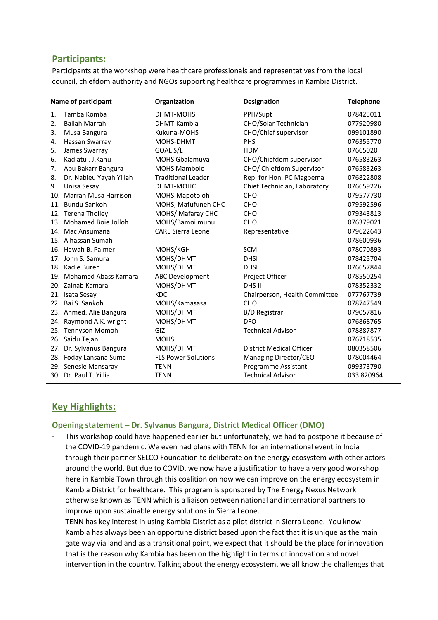## **Participants:**

Participants at the workshop were healthcare professionals and representatives from the local council, chiefdom authority and NGOs supporting healthcare programmes in Kambia District.

| Name of participant |                             | Organization               | <b>Designation</b>            | <b>Telephone</b> |
|---------------------|-----------------------------|----------------------------|-------------------------------|------------------|
| 1.                  | Tamba Komba                 | DHMT-MOHS                  | PPH/Supt                      | 078425011        |
| 2.                  | <b>Ballah Marrah</b>        | DHMT-Kambia                | CHO/Solar Technician          | 077920980        |
| 3.                  | Musa Bangura                | Kukuna-MOHS                | CHO/Chief supervisor          | 099101890        |
| 4.                  | Hassan Swarray              | MOHS-DHMT                  | <b>PHS</b>                    | 076355770        |
| 5.                  | James Swarray               | GOAL S/L                   | <b>HDM</b>                    | 07665020         |
| 6.                  | Kadiatu . J.Kanu            | <b>MOHS Gbalamuya</b>      | CHO/Chiefdom supervisor       | 076583263        |
| 7.                  | Abu Bakarr Bangura          | <b>MOHS Mambolo</b>        | CHO/ Chiefdom Supervisor      | 076583263        |
| 8.                  | Dr. Nabieu Yayah Yillah     | <b>Traditional Leader</b>  | Rep. for Hon. PC Magbema      | 076822808        |
| 9.                  | Unisa Sesay                 | DHMT-MOHC                  | Chief Technician, Laboratory  | 076659226        |
| 10.                 | <b>Marrah Musa Harrison</b> | MOHS-Mapotoloh             | CHO                           | 079577730        |
|                     | 11. Bundu Sankoh            | MOHS, Mafufuneh CHC        | CHO                           | 079592596        |
|                     | 12. Terena Tholley          | MOHS/ Mafaray CHC          | <b>CHO</b>                    | 079343813        |
|                     | 13. Mohamed Boie Jolloh     | MOHS/Bamoi munu            | CHO                           | 076379021        |
|                     | 14. Mac Ansumana            | <b>CARE Sierra Leone</b>   | Representative                | 079622643        |
|                     | 15. Alhassan Sumah          |                            |                               | 078600936        |
|                     | 16. Hawah B. Palmer         | MOHS/KGH                   | <b>SCM</b>                    | 078070893        |
|                     | 17. John S. Samura          | MOHS/DHMT                  | <b>DHSI</b>                   | 078425704        |
|                     | 18. Kadie Bureh             | MOHS/DHMT                  | <b>DHSI</b>                   | 076657844        |
|                     | 19. Mohamed Abass Kamara    | <b>ABC Development</b>     | Project Officer               | 078550254        |
|                     | 20. Zainab Kamara           | MOHS/DHMT                  | DHS II                        | 078352332        |
|                     | 21. Isata Sesay             | <b>KDC</b>                 | Chairperson, Health Committee | 077767739        |
|                     | 22. Bai S. Sankoh           | MOHS/Kamasasa              | <b>CHO</b>                    | 078747549        |
|                     | 23. Ahmed. Alie Bangura     | MOHS/DHMT                  | <b>B/D Registrar</b>          | 079057816        |
|                     | 24. Raymond A.K. wright     | MOHS/DHMT                  | <b>DFO</b>                    | 076868765        |
|                     | 25. Tennyson Momoh          | GIZ                        | <b>Technical Advisor</b>      | 078887877        |
|                     | 26. Saidu Tejan             | <b>MOHS</b>                |                               | 076718535        |
|                     | 27. Dr. Sylvanus Bangura    | MOHS/DHMT                  | District Medical Officer      | 080358506        |
|                     | 28. Foday Lansana Suma      | <b>FLS Power Solutions</b> | Managing Director/CEO         | 078004464        |
|                     | 29. Senesie Mansaray        | <b>TENN</b>                | Programme Assistant           | 099373790        |
|                     | 30. Dr. Paul T. Yillia      | <b>TENN</b>                | <b>Technical Advisor</b>      | 033 820964       |

## **Key Highlights:**

#### **Opening statement – Dr. Sylvanus Bangura, District Medical Officer (DMO)**

- This workshop could have happened earlier but unfortunately, we had to postpone it because of the COVID-19 pandemic. We even had plans with TENN for an international event in India through their partner SELCO Foundation to deliberate on the energy ecosystem with other actors around the world. But due to COVID, we now have a justification to have a very good workshop here in Kambia Town through this coalition on how we can improve on the energy ecosystem in Kambia District for healthcare. This program is sponsored by The Energy Nexus Network otherwise known as TENN which is a liaison between national and international partners to improve upon sustainable energy solutions in Sierra Leone.
- TENN has key interest in using Kambia District as a pilot district in Sierra Leone. You know Kambia has always been an opportune district based upon the fact that it is unique as the main gate way via land and as a transitional point, we expect that it should be the place for innovation that is the reason why Kambia has been on the highlight in terms of innovation and novel intervention in the country. Talking about the energy ecosystem, we all know the challenges that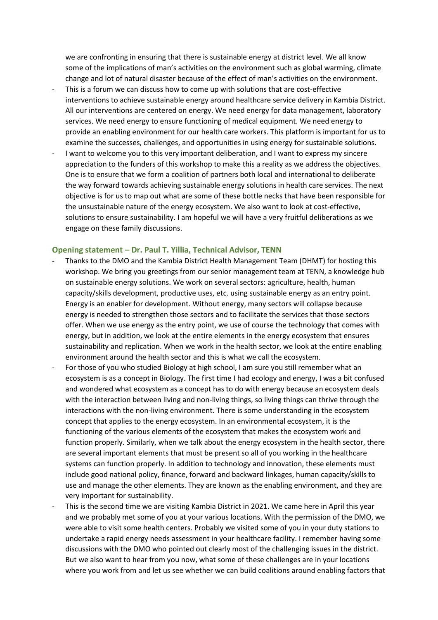we are confronting in ensuring that there is sustainable energy at district level. We all know some of the implications of man's activities on the environment such as global warming, climate change and lot of natural disaster because of the effect of man's activities on the environment.

- This is a forum we can discuss how to come up with solutions that are cost-effective interventions to achieve sustainable energy around healthcare service delivery in Kambia District. All our interventions are centered on energy. We need energy for data management, laboratory services. We need energy to ensure functioning of medical equipment. We need energy to provide an enabling environment for our health care workers. This platform is important for us to examine the successes, challenges, and opportunities in using energy for sustainable solutions.
- I want to welcome you to this very important deliberation, and I want to express my sincere appreciation to the funders of this workshop to make this a reality as we address the objectives. One is to ensure that we form a coalition of partners both local and international to deliberate the way forward towards achieving sustainable energy solutions in health care services. The next objective is for us to map out what are some of these bottle necks that have been responsible for the unsustainable nature of the energy ecosystem. We also want to look at cost-effective, solutions to ensure sustainability. I am hopeful we will have a very fruitful deliberations as we engage on these family discussions.

#### **Opening statement – Dr. Paul T. Yillia, Technical Advisor, TENN**

- Thanks to the DMO and the Kambia District Health Management Team (DHMT) for hosting this workshop. We bring you greetings from our senior management team at TENN, a knowledge hub on sustainable energy solutions. We work on several sectors: agriculture, health, human capacity/skills development, productive uses, etc. using sustainable energy as an entry point. Energy is an enabler for development. Without energy, many sectors will collapse because energy is needed to strengthen those sectors and to facilitate the services that those sectors offer. When we use energy as the entry point, we use of course the technology that comes with energy, but in addition, we look at the entire elements in the energy ecosystem that ensures sustainability and replication. When we work in the health sector, we look at the entire enabling environment around the health sector and this is what we call the ecosystem.
- For those of you who studied Biology at high school, I am sure you still remember what an ecosystem is as a concept in Biology. The first time I had ecology and energy, I was a bit confused and wondered what ecosystem as a concept has to do with energy because an ecosystem deals with the interaction between living and non-living things, so living things can thrive through the interactions with the non-living environment. There is some understanding in the ecosystem concept that applies to the energy ecosystem. In an environmental ecosystem, it is the functioning of the various elements of the ecosystem that makes the ecosystem work and function properly. Similarly, when we talk about the energy ecosystem in the health sector, there are several important elements that must be present so all of you working in the healthcare systems can function properly. In addition to technology and innovation, these elements must include good national policy, finance, forward and backward linkages, human capacity/skills to use and manage the other elements. They are known as the enabling environment, and they are very important for sustainability.
- This is the second time we are visiting Kambia District in 2021. We came here in April this year and we probably met some of you at your various locations. With the permission of the DMO, we were able to visit some health centers. Probably we visited some of you in your duty stations to undertake a rapid energy needs assessment in your healthcare facility. I remember having some discussions with the DMO who pointed out clearly most of the challenging issues in the district. But we also want to hear from you now, what some of these challenges are in your locations where you work from and let us see whether we can build coalitions around enabling factors that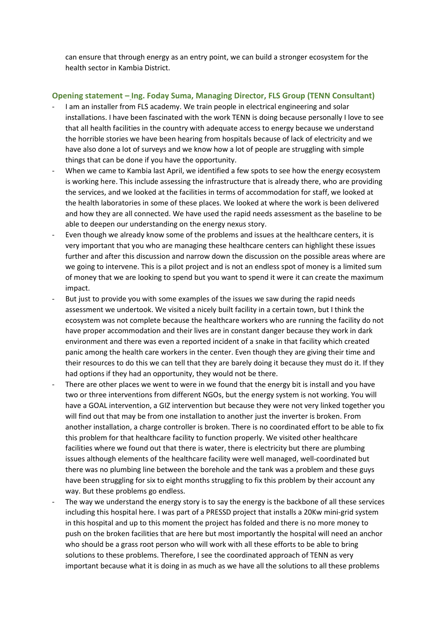can ensure that through energy as an entry point, we can build a stronger ecosystem for the health sector in Kambia District.

#### **Opening statement – Ing. Foday Suma, Managing Director, FLS Group (TENN Consultant)**

- I am an installer from FLS academy. We train people in electrical engineering and solar installations. I have been fascinated with the work TENN is doing because personally I love to see that all health facilities in the country with adequate access to energy because we understand the horrible stories we have been hearing from hospitals because of lack of electricity and we have also done a lot of surveys and we know how a lot of people are struggling with simple things that can be done if you have the opportunity.
- When we came to Kambia last April, we identified a few spots to see how the energy ecosystem is working here. This include assessing the infrastructure that is already there, who are providing the services, and we looked at the facilities in terms of accommodation for staff, we looked at the health laboratories in some of these places. We looked at where the work is been delivered and how they are all connected. We have used the rapid needs assessment as the baseline to be able to deepen our understanding on the energy nexus story.
- Even though we already know some of the problems and issues at the healthcare centers, it is very important that you who are managing these healthcare centers can highlight these issues further and after this discussion and narrow down the discussion on the possible areas where are we going to intervene. This is a pilot project and is not an endless spot of money is a limited sum of money that we are looking to spend but you want to spend it were it can create the maximum impact.
- But just to provide you with some examples of the issues we saw during the rapid needs assessment we undertook. We visited a nicely built facility in a certain town, but I think the ecosystem was not complete because the healthcare workers who are running the facility do not have proper accommodation and their lives are in constant danger because they work in dark environment and there was even a reported incident of a snake in that facility which created panic among the health care workers in the center. Even though they are giving their time and their resources to do this we can tell that they are barely doing it because they must do it. If they had options if they had an opportunity, they would not be there.
- There are other places we went to were in we found that the energy bit is install and you have two or three interventions from different NGOs, but the energy system is not working. You will have a GOAL intervention, a GIZ intervention but because they were not very linked together you will find out that may be from one installation to another just the inverter is broken. From another installation, a charge controller is broken. There is no coordinated effort to be able to fix this problem for that healthcare facility to function properly. We visited other healthcare facilities where we found out that there is water, there is electricity but there are plumbing issues although elements of the healthcare facility were well managed, well-coordinated but there was no plumbing line between the borehole and the tank was a problem and these guys have been struggling for six to eight months struggling to fix this problem by their account any way. But these problems go endless.
- The way we understand the energy story is to say the energy is the backbone of all these services including this hospital here. I was part of a PRESSD project that installs a 20Kw mini-grid system in this hospital and up to this moment the project has folded and there is no more money to push on the broken facilities that are here but most importantly the hospital will need an anchor who should be a grass root person who will work with all these efforts to be able to bring solutions to these problems. Therefore, I see the coordinated approach of TENN as very important because what it is doing in as much as we have all the solutions to all these problems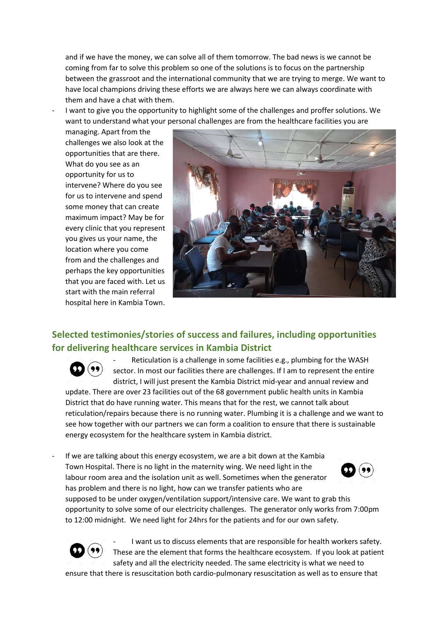and if we have the money, we can solve all of them tomorrow. The bad news is we cannot be coming from far to solve this problem so one of the solutions is to focus on the partnership between the grassroot and the international community that we are trying to merge. We want to have local champions driving these efforts we are always here we can always coordinate with them and have a chat with them.

I want to give you the opportunity to highlight some of the challenges and proffer solutions. We want to understand what your personal challenges are from the healthcare facilities you are

managing. Apart from the challenges we also look at the opportunities that are there. What do you see as an opportunity for us to intervene? Where do you see for us to intervene and spend some money that can create maximum impact? May be for every clinic that you represent you gives us your name, the location where you come from and the challenges and perhaps the key opportunities that you are faced with. Let us start with the main referral hospital here in Kambia Town.



# **Selected testimonies/stories of success and failures, including opportunities for delivering healthcare services in Kambia District**



Reticulation is a challenge in some facilities e.g., plumbing for the WASH sector. In most our facilities there are challenges. If I am to represent the entire district, I will just present the Kambia District mid-year and annual review and

update. There are over 23 facilities out of the 68 government public health units in Kambia District that do have running water. This means that for the rest, we cannot talk about reticulation/repairs because there is no running water. Plumbing it is a challenge and we want to see how together with our partners we can form a coalition to ensure that there is sustainable energy ecosystem for the healthcare system in Kambia district.

If we are talking about this energy ecosystem, we are a bit down at the Kambia Town Hospital. There is no light in the maternity wing. We need light in the labour room area and the isolation unit as well. Sometimes when the generator has problem and there is no light, how can we transfer patients who are supposed to be under oxygen/ventilation support/intensive care. We want to grab this opportunity to solve some of our electricity challenges. The generator only works from 7:00pm to 12:00 midnight. We need light for 24hrs for the patients and for our own safety.



I want us to discuss elements that are responsible for health workers safety. These are the element that forms the healthcare ecosystem. If you look at patient safety and all the electricity needed. The same electricity is what we need to

ensure that there is resuscitation both cardio-pulmonary resuscitation as well as to ensure that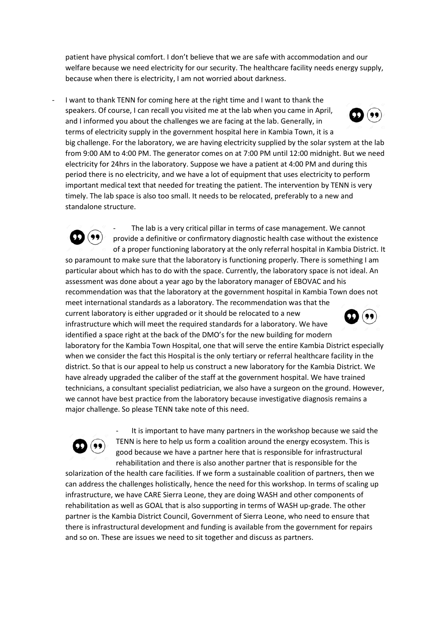patient have physical comfort. I don't believe that we are safe with accommodation and our welfare because we need electricity for our security. The healthcare facility needs energy supply, because when there is electricity, I am not worried about darkness.

I want to thank TENN for coming here at the right time and I want to thank the speakers. Of course, I can recall you visited me at the lab when you came in April,  $(99$ and I informed you about the challenges we are facing at the lab. Generally, in terms of electricity supply in the government hospital here in Kambia Town, it is a big challenge. For the laboratory, we are having electricity supplied by the solar system at the lab from 9:00 AM to 4:00 PM. The generator comes on at 7:00 PM until 12:00 midnight. But we need electricity for 24hrs in the laboratory. Suppose we have a patient at 4:00 PM and during this period there is no electricity, and we have a lot of equipment that uses electricity to perform important medical text that needed for treating the patient. The intervention by TENN is very timely. The lab space is also too small. It needs to be relocated, preferably to a new and standalone structure.

The lab is a very critical pillar in terms of case management. We cannot  $\left( \bullet\bullet\right)$ provide a definitive or confirmatory diagnostic health case without the existence of a proper functioning laboratory at the only referral hospital in Kambia District. It so paramount to make sure that the laboratory is functioning properly. There is something I am particular about which has to do with the space. Currently, the laboratory space is not ideal. An assessment was done about a year ago by the laboratory manager of EBOVAC and his recommendation was that the laboratory at the government hospital in Kambia Town does not meet international standards as a laboratory. The recommendation was that the current laboratory is either upgraded or it should be relocated to a new (99 infrastructure which will meet the required standards for a laboratory. We have identified a space right at the back of the DMO's for the new building for modern laboratory for the Kambia Town Hospital, one that will serve the entire Kambia District especially when we consider the fact this Hospital is the only tertiary or referral healthcare facility in the district. So that is our appeal to help us construct a new laboratory for the Kambia District. We have already upgraded the caliber of the staff at the government hospital. We have trained technicians, a consultant specialist pediatrician, we also have a surgeon on the ground. However, we cannot have best practice from the laboratory because investigative diagnosis remains a major challenge. So please TENN take note of this need.



It is important to have many partners in the workshop because we said the TENN is here to help us form a coalition around the energy ecosystem. This is good because we have a partner here that is responsible for infrastructural rehabilitation and there is also another partner that is responsible for the

solarization of the health care facilities. If we form a sustainable coalition of partners, then we can address the challenges holistically, hence the need for this workshop. In terms of scaling up infrastructure, we have CARE Sierra Leone, they are doing WASH and other components of rehabilitation as well as GOAL that is also supporting in terms of WASH up-grade. The other partner is the Kambia District Council, Government of Sierra Leone, who need to ensure that there is infrastructural development and funding is available from the government for repairs and so on. These are issues we need to sit together and discuss as partners.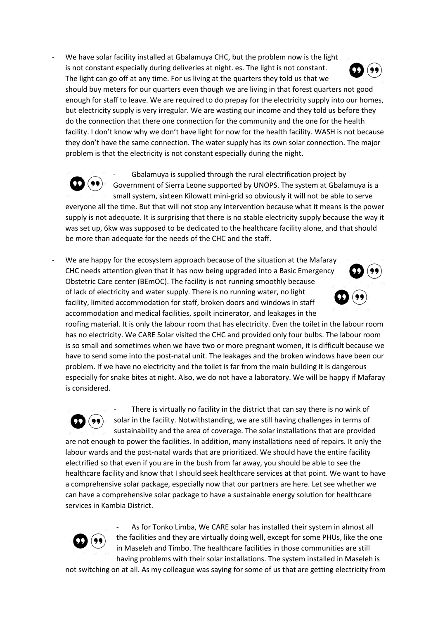We have solar facility installed at Gbalamuya CHC, but the problem now is the light is not constant especially during deliveries at night. es. The light is not constant. The light can go off at any time. For us living at the quarters they told us that we should buy meters for our quarters even though we are living in that forest quarters not good enough for staff to leave. We are required to do prepay for the electricity supply into our homes, but electricity supply is very irregular. We are wasting our income and they told us before they do the connection that there one connection for the community and the one for the health facility. I don't know why we don't have light for now for the health facility. WASH is not because they don't have the same connection. The water supply has its own solar connection. The major problem is that the electricity is not constant especially during the night.

- Gbalamuya is supplied through the rural electrification project by  $(99)$ Government of Sierra Leone supported by UNOPS. The system at Gbalamuya is a small system, sixteen Kilowatt mini-grid so obviously it will not be able to serve everyone all the time. But that will not stop any intervention because what it means is the power supply is not adequate. It is surprising that there is no stable electricity supply because the way it was set up, 6kw was supposed to be dedicated to the healthcare facility alone, and that should be more than adequate for the needs of the CHC and the staff.

We are happy for the ecosystem approach because of the situation at the Mafaray CHC needs attention given that it has now being upgraded into a Basic Emergency Obstetric Care center (BEmOC). The facility is not running smoothly because of lack of electricity and water supply. There is no running water, no light facility, limited accommodation for staff, broken doors and windows in staff accommodation and medical facilities, spoilt incinerator, and leakages in the

roofing material. It is only the labour room that has electricity. Even the toilet in the labour room has no electricity. We CARE Solar visited the CHC and provided only four bulbs. The labour room is so small and sometimes when we have two or more pregnant women, it is difficult because we have to send some into the post-natal unit. The leakages and the broken windows have been our problem. If we have no electricity and the toilet is far from the main building it is dangerous especially for snake bites at night. Also, we do not have a laboratory. We will be happy if Mafaray is considered.

There is virtually no facility in the district that can say there is no wink of solar in the facility. Notwithstanding, we are still having challenges in terms of 99 sustainability and the area of coverage. The solar installations that are provided are not enough to power the facilities. In addition, many installations need of repairs. It only the labour wards and the post-natal wards that are prioritized. We should have the entire facility electrified so that even if you are in the bush from far away, you should be able to see the healthcare facility and know that I should seek healthcare services at that point. We want to have a comprehensive solar package, especially now that our partners are here. Let see whether we can have a comprehensive solar package to have a sustainable energy solution for healthcare services in Kambia District.



As for Tonko Limba, We CARE solar has installed their system in almost all the facilities and they are virtually doing well, except for some PHUs, like the one in Maseleh and Timbo. The healthcare facilities in those communities are still having problems with their solar installations. The system installed in Maseleh is

not switching on at all. As my colleague was saying for some of us that are getting electricity from

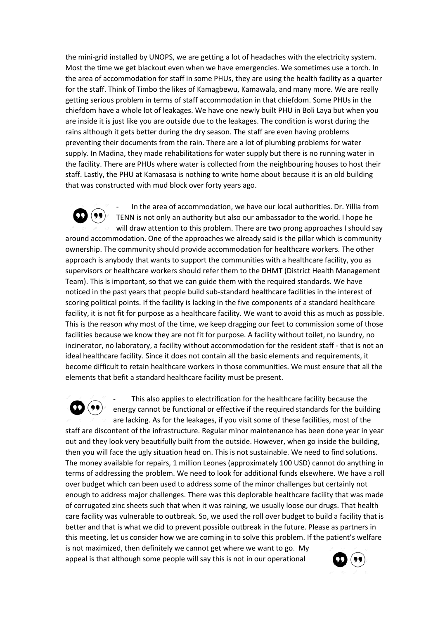the mini-grid installed by UNOPS, we are getting a lot of headaches with the electricity system. Most the time we get blackout even when we have emergencies. We sometimes use a torch. In the area of accommodation for staff in some PHUs, they are using the health facility as a quarter for the staff. Think of Timbo the likes of Kamagbewu, Kamawala, and many more. We are really getting serious problem in terms of staff accommodation in that chiefdom. Some PHUs in the chiefdom have a whole lot of leakages. We have one newly built PHU in Boli Laya but when you are inside it is just like you are outside due to the leakages. The condition is worst during the rains although it gets better during the dry season. The staff are even having problems preventing their documents from the rain. There are a lot of plumbing problems for water supply. In Madina, they made rehabilitations for water supply but there is no running water in the facility. There are PHUs where water is collected from the neighbouring houses to host their staff. Lastly, the PHU at Kamasasa is nothing to write home about because it is an old building that was constructed with mud block over forty years ago.

- In the area of accommodation, we have our local authorities. Dr. Yillia from  $(99)$ TENN is not only an authority but also our ambassador to the world. I hope he will draw attention to this problem. There are two prong approaches I should say around accommodation. One of the approaches we already said is the pillar which is community ownership. The community should provide accommodation for healthcare workers. The other approach is anybody that wants to support the communities with a healthcare facility, you as supervisors or healthcare workers should refer them to the DHMT (District Health Management Team). This is important, so that we can guide them with the required standards. We have noticed in the past years that people build sub-standard healthcare facilities in the interest of scoring political points. If the facility is lacking in the five components of a standard healthcare facility, it is not fit for purpose as a healthcare facility. We want to avoid this as much as possible. This is the reason why most of the time, we keep dragging our feet to commission some of those facilities because we know they are not fit for purpose. A facility without toilet, no laundry, no incinerator, no laboratory, a facility without accommodation for the resident staff - that is not an ideal healthcare facility. Since it does not contain all the basic elements and requirements, it become difficult to retain healthcare workers in those communities. We must ensure that all the elements that befit a standard healthcare facility must be present.

This also applies to electrification for the healthcare facility because the  $\mathbf{D}$  (99) energy cannot be functional or effective if the required standards for the building are lacking. As for the leakages, if you visit some of these facilities, most of the staff are discontent of the infrastructure. Regular minor maintenance has been done year in year out and they look very beautifully built from the outside. However, when go inside the building, then you will face the ugly situation head on. This is not sustainable. We need to find solutions. The money available for repairs, 1 million Leones (approximately 100 USD) cannot do anything in terms of addressing the problem. We need to look for additional funds elsewhere. We have a roll over budget which can been used to address some of the minor challenges but certainly not enough to address major challenges. There was this deplorable healthcare facility that was made of corrugated zinc sheets such that when it was raining, we usually loose our drugs. That health care facility was vulnerable to outbreak. So, we used the roll over budget to build a facility that is better and that is what we did to prevent possible outbreak in the future. Please as partners in this meeting, let us consider how we are coming in to solve this problem. If the patient's welfare

is not maximized, then definitely we cannot get where we want to go. My appeal is that although some people will say this is not in our operational





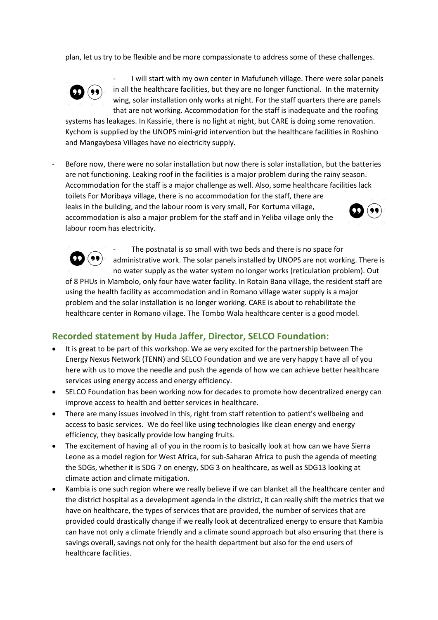plan, let us try to be flexible and be more compassionate to address some of these challenges.



I will start with my own center in Mafufuneh village. There were solar panels in all the healthcare facilities, but they are no longer functional. In the maternity wing, solar installation only works at night. For the staff quarters there are panels that are not working. Accommodation for the staff is inadequate and the roofing

systems has leakages. In Kassirie, there is no light at night, but CARE is doing some renovation. Kychom is supplied by the UNOPS mini-grid intervention but the healthcare facilities in Roshino and Mangaybesa Villages have no electricity supply.

Before now, there were no solar installation but now there is solar installation, but the batteries are not functioning. Leaking roof in the facilities is a major problem during the rainy season. Accommodation for the staff is a major challenge as well. Also, some healthcare facilities lack toilets For Moribaya village, there is no accommodation for the staff, there are leaks in the building, and the labour room is very small, For Kortuma village, accommodation is also a major problem for the staff and in Yeliba village only the labour room has electricity.





using the health facility as accommodation and in Romano village water supply is a major problem and the solar installation is no longer working. CARE is about to rehabilitate the healthcare center in Romano village. The Tombo Wala healthcare center is a good model.

## **Recorded statement by Huda Jaffer, Director, SELCO Foundation:**

- It is great to be part of this workshop. We ae very excited for the partnership between The Energy Nexus Network (TENN) and SELCO Foundation and we are very happy t have all of you here with us to move the needle and push the agenda of how we can achieve better healthcare services using energy access and energy efficiency.
- SELCO Foundation has been working now for decades to promote how decentralized energy can improve access to health and better services in healthcare.
- There are many issues involved in this, right from staff retention to patient's wellbeing and access to basic services. We do feel like using technologies like clean energy and energy efficiency, they basically provide low hanging fruits.
- The excitement of having all of you in the room is to basically look at how can we have Sierra Leone as a model region for West Africa, for sub-Saharan Africa to push the agenda of meeting the SDGs, whether it is SDG 7 on energy, SDG 3 on healthcare, as well as SDG13 looking at climate action and climate mitigation.
- Kambia is one such region where we really believe if we can blanket all the healthcare center and the district hospital as a development agenda in the district, it can really shift the metrics that we have on healthcare, the types of services that are provided, the number of services that are provided could drastically change if we really look at decentralized energy to ensure that Kambia can have not only a climate friendly and a climate sound approach but also ensuring that there is savings overall, savings not only for the health department but also for the end users of healthcare facilities.